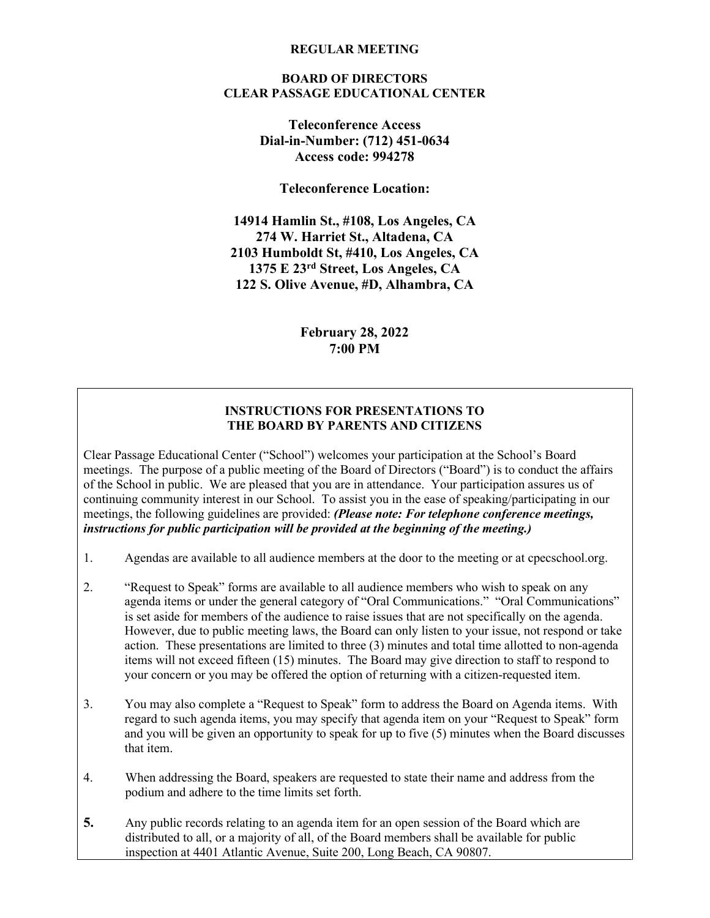#### **REGULAR MEETING**

#### **BOARD OF DIRECTORS CLEAR PASSAGE EDUCATIONAL CENTER**

**Teleconference Access Dial-in-Number: (712) 451-0634 Access code: 994278**

**Teleconference Location:**

**14914 Hamlin St., #108, Los Angeles, CA 274 W. Harriet St., Altadena, CA 2103 Humboldt St, #410, Los Angeles, CA 1375 E 23rd Street, Los Angeles, CA 122 S. Olive Avenue, #D, Alhambra, CA**

> **February 28, 2022 7:00 PM**

# **INSTRUCTIONS FOR PRESENTATIONS TO THE BOARD BY PARENTS AND CITIZENS**

Clear Passage Educational Center ("School") welcomes your participation at the School's Board meetings. The purpose of a public meeting of the Board of Directors ("Board") is to conduct the affairs of the School in public. We are pleased that you are in attendance. Your participation assures us of continuing community interest in our School. To assist you in the ease of speaking/participating in our meetings, the following guidelines are provided: *(Please note: For telephone conference meetings, instructions for public participation will be provided at the beginning of the meeting.)*

- 1. Agendas are available to all audience members at the door to the meeting or at cpecschool.org.
- 2. "Request to Speak" forms are available to all audience members who wish to speak on any agenda items or under the general category of "Oral Communications." "Oral Communications" is set aside for members of the audience to raise issues that are not specifically on the agenda. However, due to public meeting laws, the Board can only listen to your issue, not respond or take action. These presentations are limited to three (3) minutes and total time allotted to non-agenda items will not exceed fifteen (15) minutes. The Board may give direction to staff to respond to your concern or you may be offered the option of returning with a citizen-requested item.
- 3. You may also complete a "Request to Speak" form to address the Board on Agenda items. With regard to such agenda items, you may specify that agenda item on your "Request to Speak" form and you will be given an opportunity to speak for up to five (5) minutes when the Board discusses that item.
- 4. When addressing the Board, speakers are requested to state their name and address from the podium and adhere to the time limits set forth.
- **5.** Any public records relating to an agenda item for an open session of the Board which are distributed to all, or a majority of all, of the Board members shall be available for public inspection at 4401 Atlantic Avenue, Suite 200, Long Beach, CA 90807.